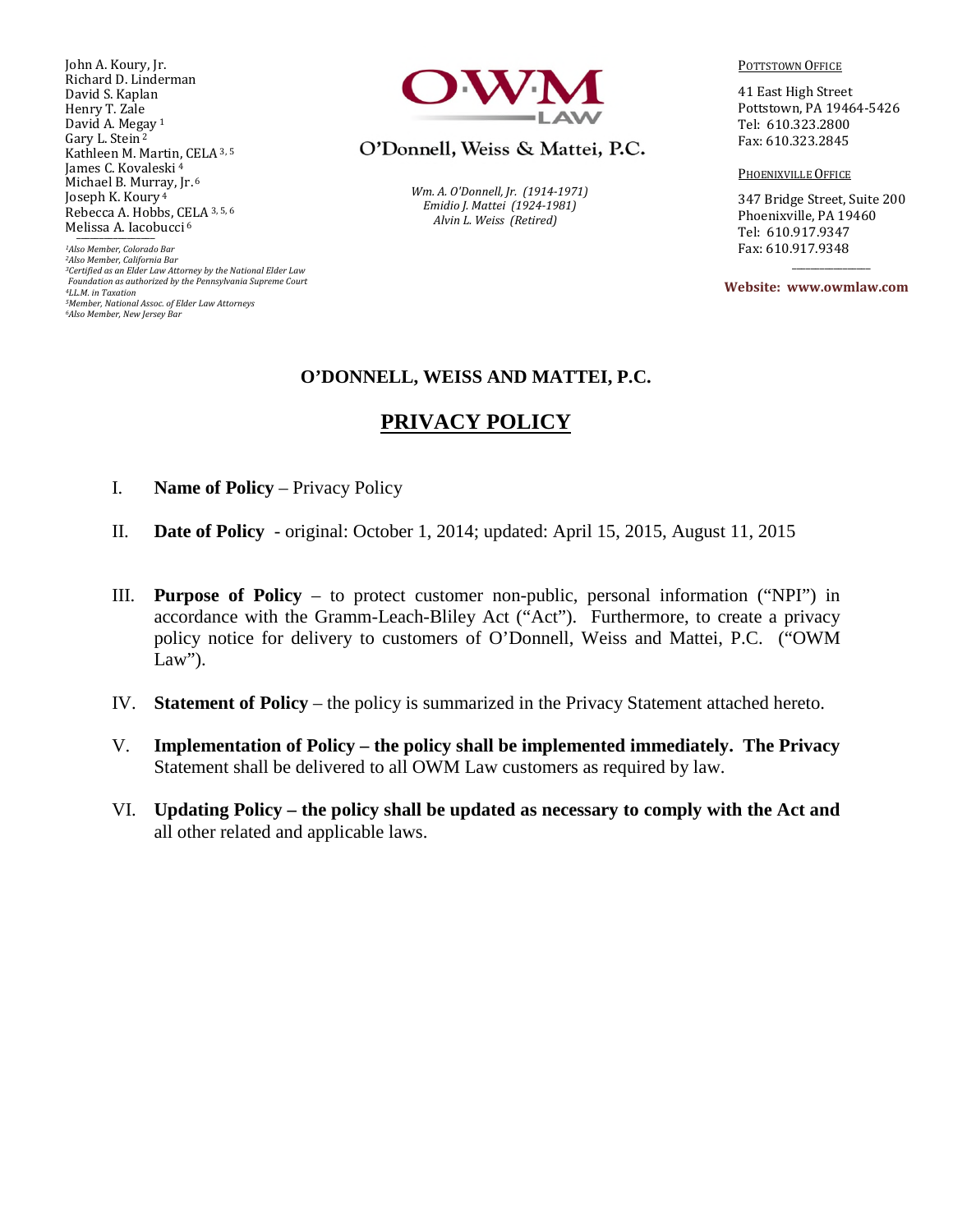John A. Koury, Jr. Richard D. Linderman David S. Kaplan Henry T. Zale David A. Megay<sup>1</sup> Gary L. Stein<sup>2</sup> Kathleen M. Martin, CELA 3, 5 James C. Kovaleski<sup>4</sup> Michael B. Murray, Jr. <sup>6</sup> Joseph K. Koury<sup>4</sup> Rebecca A. Hobbs, CELA 3, 5, 6 Melissa A. Iacobucci<sup>6</sup>

*Also Member, Colorado Bar Also Member, California Bar Certified as an Elder Law Attorney by the National Elder Law Foundation as authorized by the Pennsylvania Supreme Court LL.M. in Taxation Member, National Assoc. of Elder Law Attorneys Also Member, New Jersey Bar* 



O'Donnell, Weiss & Mattei, P.C.

*Wm. A. O'Donnell, Jr. (1914-1971) Emidio J. Mattei (1924-1981) Alvin L. Weiss (Retired)* 

POTTSTOWN OFFICE

41 East High Street Pottstown, PA 19464-5426 Tel: 610.323.2800 Fax: 610.323.2845

PHOENIXVILLE OFFICE

347 Bridge Street, Suite 200 Phoenixville, PA 19460 Tel: 610.917.9347 Fax: 610.917.9348

**Website: www.owmlaw.com**

 $\overline{\phantom{a}}$  ,  $\overline{\phantom{a}}$  ,  $\overline{\phantom{a}}$  ,  $\overline{\phantom{a}}$  ,  $\overline{\phantom{a}}$  ,  $\overline{\phantom{a}}$  ,  $\overline{\phantom{a}}$  ,  $\overline{\phantom{a}}$  ,  $\overline{\phantom{a}}$  ,  $\overline{\phantom{a}}$  ,  $\overline{\phantom{a}}$  ,  $\overline{\phantom{a}}$  ,  $\overline{\phantom{a}}$  ,  $\overline{\phantom{a}}$  ,  $\overline{\phantom{a}}$  ,  $\overline{\phantom{a}}$ 

#### **O'DONNELL, WEISS AND MATTEI, P.C.**

## **PRIVACY POLICY**

- I. **Name of Policy** Privacy Policy
- II. **Date of Policy**  original: October 1, 2014; updated: April 15, 2015, August 11, 2015
- III. **Purpose of Policy** to protect customer non-public, personal information ("NPI") in accordance with the Gramm-Leach-Bliley Act ("Act"). Furthermore, to create a privacy policy notice for delivery to customers of O'Donnell, Weiss and Mattei, P.C. ("OWM Law").
- IV. **Statement of Policy** the policy is summarized in the Privacy Statement attached hereto.
- V. **Implementation of Policy the policy shall be implemented immediately. The Privacy**  Statement shall be delivered to all OWM Law customers as required by law.
- VI. **Updating Policy the policy shall be updated as necessary to comply with the Act and**  all other related and applicable laws.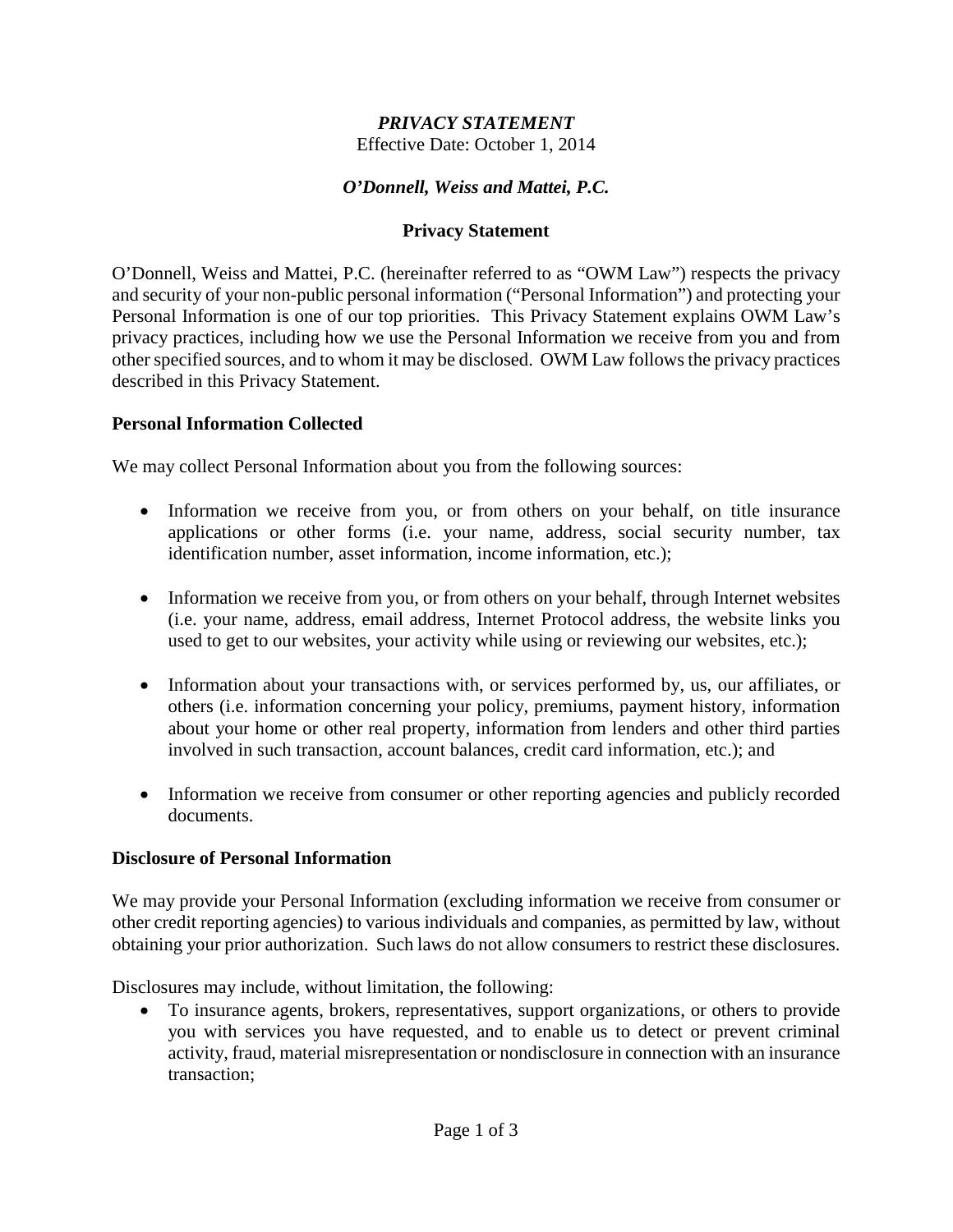# *PRIVACY STATEMENT*

Effective Date: October 1, 2014

## *O'Donnell, Weiss and Mattei, P.C.*

## **Privacy Statement**

O'Donnell, Weiss and Mattei, P.C. (hereinafter referred to as "OWM Law") respects the privacy and security of your non-public personal information ("Personal Information") and protecting your Personal Information is one of our top priorities. This Privacy Statement explains OWM Law's privacy practices, including how we use the Personal Information we receive from you and from other specified sources, and to whom it may be disclosed. OWM Law follows the privacy practices described in this Privacy Statement.

#### **Personal Information Collected**

We may collect Personal Information about you from the following sources:

- Information we receive from you, or from others on your behalf, on title insurance applications or other forms (i.e. your name, address, social security number, tax identification number, asset information, income information, etc.);
- Information we receive from you, or from others on your behalf, through Internet websites (i.e. your name, address, email address, Internet Protocol address, the website links you used to get to our websites, your activity while using or reviewing our websites, etc.);
- Information about your transactions with, or services performed by, us, our affiliates, or others (i.e. information concerning your policy, premiums, payment history, information about your home or other real property, information from lenders and other third parties involved in such transaction, account balances, credit card information, etc.); and
- Information we receive from consumer or other reporting agencies and publicly recorded documents.

#### **Disclosure of Personal Information**

We may provide your Personal Information (excluding information we receive from consumer or other credit reporting agencies) to various individuals and companies, as permitted by law, without obtaining your prior authorization. Such laws do not allow consumers to restrict these disclosures.

Disclosures may include, without limitation, the following:

• To insurance agents, brokers, representatives, support organizations, or others to provide you with services you have requested, and to enable us to detect or prevent criminal activity, fraud, material misrepresentation or nondisclosure in connection with an insurance transaction;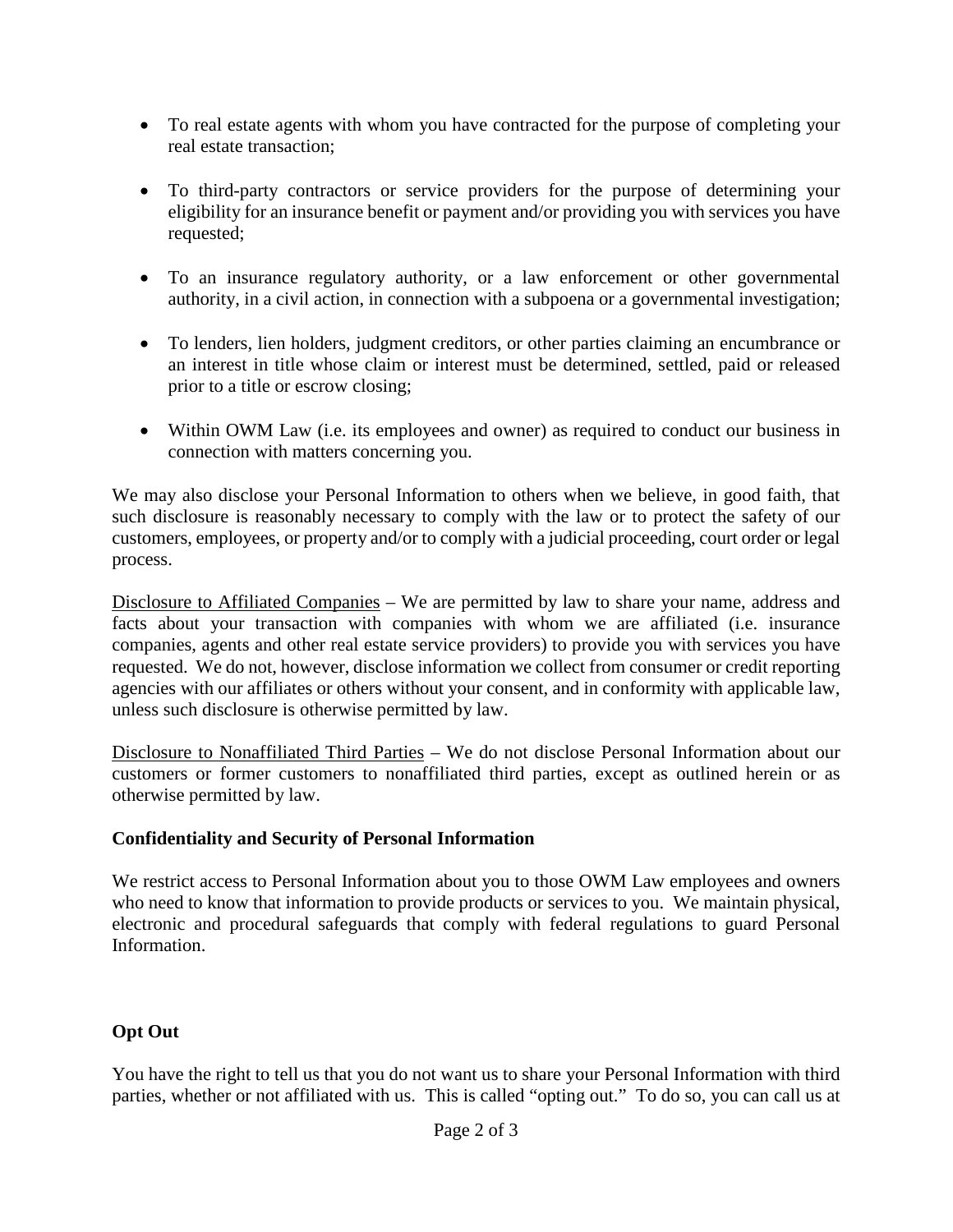- To real estate agents with whom you have contracted for the purpose of completing your real estate transaction;
- To third-party contractors or service providers for the purpose of determining your eligibility for an insurance benefit or payment and/or providing you with services you have requested;
- To an insurance regulatory authority, or a law enforcement or other governmental authority, in a civil action, in connection with a subpoena or a governmental investigation;
- To lenders, lien holders, judgment creditors, or other parties claiming an encumbrance or an interest in title whose claim or interest must be determined, settled, paid or released prior to a title or escrow closing;
- Within OWM Law (i.e. its employees and owner) as required to conduct our business in connection with matters concerning you.

We may also disclose your Personal Information to others when we believe, in good faith, that such disclosure is reasonably necessary to comply with the law or to protect the safety of our customers, employees, or property and/or to comply with a judicial proceeding, court order or legal process.

Disclosure to Affiliated Companies – We are permitted by law to share your name, address and facts about your transaction with companies with whom we are affiliated (i.e. insurance companies, agents and other real estate service providers) to provide you with services you have requested. We do not, however, disclose information we collect from consumer or credit reporting agencies with our affiliates or others without your consent, and in conformity with applicable law, unless such disclosure is otherwise permitted by law.

Disclosure to Nonaffiliated Third Parties – We do not disclose Personal Information about our customers or former customers to nonaffiliated third parties, except as outlined herein or as otherwise permitted by law.

## **Confidentiality and Security of Personal Information**

We restrict access to Personal Information about you to those OWM Law employees and owners who need to know that information to provide products or services to you. We maintain physical, electronic and procedural safeguards that comply with federal regulations to guard Personal Information.

## **Opt Out**

You have the right to tell us that you do not want us to share your Personal Information with third parties, whether or not affiliated with us. This is called "opting out." To do so, you can call us at